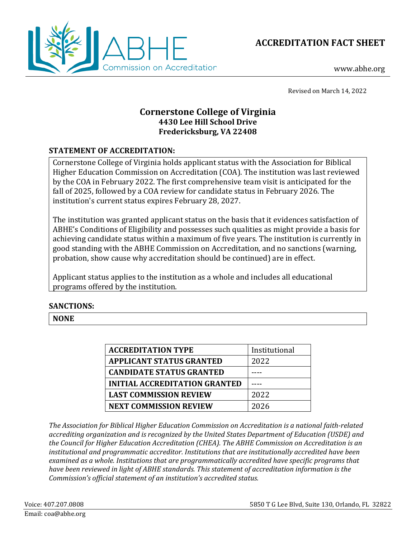



www.abhe.org

Revised on March 14, 2022

# **Cornerstone College of Virginia 4430 Lee Hill School Drive Fredericksburg, VA 22408**

## **STATEMENT OF ACCREDITATION:**

Cornerstone College of Virginia holds applicant status with the Association for Biblical Higher Education Commission on Accreditation (COA). The institution was last reviewed by the COA in February 2022. The first comprehensive team visit is anticipated for the fall of 2025, followed by a COA review for candidate status in February 2026. The institution's current status expires February 28, 2027.

The institution was granted applicant status on the basis that it evidences satisfaction of ABHE's Conditions of Eligibility and possesses such qualities as might provide a basis for achieving candidate status within a maximum of five years. The institution is currently in good standing with the ABHE Commission on Accreditation, and no sanctions (warning, probation, show cause why accreditation should be continued) are in effect.

Applicant status applies to the institution as a whole and includes all educational programs offered by the institution.

## **SANCTIONS:**

**NONE**

| <b>ACCREDITATION TYPE</b>       | Institutional |
|---------------------------------|---------------|
| <b>APPLICANT STATUS GRANTED</b> | 2022          |
| <b>CANDIDATE STATUS GRANTED</b> |               |
| INITIAL ACCREDITATION GRANTED   |               |
| <b>LAST COMMISSION REVIEW</b>   | 2022          |
| <b>NEXT COMMISSION REVIEW</b>   | 2026          |

*The Association for Biblical Higher Education Commission on Accreditation is a national faith-related accrediting organization and is recognized by the United States Department of Education (USDE) and the Council for Higher Education Accreditation (CHEA). The ABHE Commission on Accreditation is an institutional and programmatic accreditor. Institutions that are institutionally accredited have been examined as a whole. Institutions that are programmatically accredited have specific programs that have been reviewed in light of ABHE standards. This statement of accreditation information is the Commission's official statement of an institution's accredited status.*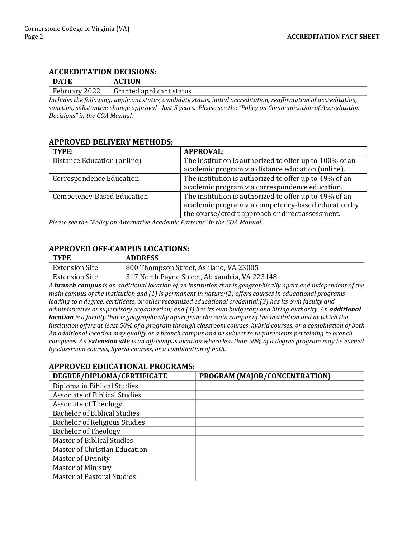#### **ACCREDITATION DECISIONS:**

| <b>DATE</b>      | <b>CTION</b><br>AC       |
|------------------|--------------------------|
| February<br>2022 | Granted applicant status |

*Includes the following: applicant status, candidate status, initial accreditation, reaffirmation of accreditation, sanction, substantive change approval - last 5 years. Please see the "Policy on Communication of Accreditation Decisions" in the COA Manual.*

#### **APPROVED DELIVERY METHODS:**

| TYPE:                           | <b>APPROVAL:</b>                                        |
|---------------------------------|---------------------------------------------------------|
| Distance Education (online)     | The institution is authorized to offer up to 100% of an |
|                                 | academic program via distance education (online).       |
| <b>Correspondence Education</b> | The institution is authorized to offer up to 49% of an  |
|                                 | academic program via correspondence education.          |
| Competency-Based Education      | The institution is authorized to offer up to 49% of an  |
|                                 | academic program via competency-based education by      |
|                                 | the course/credit approach or direct assessment.        |

*Please see the "Policy on Alternative Academic Patterns" in the COA Manual.*

### **APPROVED OFF-CAMPUS LOCATIONS:**

| <b>TYPE</b>    | <b>ADDRESS</b>                                |
|----------------|-----------------------------------------------|
| Extension Site | 800 Thompson Street, Ashland, VA 23005        |
| Extension Site | 317 North Payne Street, Alexandria, VA 223148 |

*A branch campus is an additional location of an institution that is geographically apart and independent of the main campus of the institution and (1) is permanent in nature;(2) offers courses in educational programs leading to a degree, certificate, or other recognized educational credential;(3) has its own faculty and administrative or supervisory organization; and (4) has its own budgetary and hiring authority. An additional location is a facility that is geographically apart from the main campus of the institution and at which the institution offers at least 50% of a program through classroom courses, hybrid courses, or a combination of both. An additional location may qualify as a branch campus and be subject to requirements pertaining to branch campuses. An extension site is an off-campus location where less than 50% of a degree program may be earned by classroom courses, hybrid courses, or a combination of both.*

### **APPROVED EDUCATIONAL PROGRAMS:**

| DEGREE/DIPLOMA/CERTIFICATE           | PROGRAM (MAJOR/CONCENTRATION) |
|--------------------------------------|-------------------------------|
| Diploma in Biblical Studies          |                               |
| <b>Associate of Biblical Studies</b> |                               |
| Associate of Theology                |                               |
| <b>Bachelor of Biblical Studies</b>  |                               |
| <b>Bachelor of Religious Studies</b> |                               |
| <b>Bachelor of Theology</b>          |                               |
| <b>Master of Biblical Studies</b>    |                               |
| Master of Christian Education        |                               |
| Master of Divinity                   |                               |
| <b>Master of Ministry</b>            |                               |
| <b>Master of Pastoral Studies</b>    |                               |